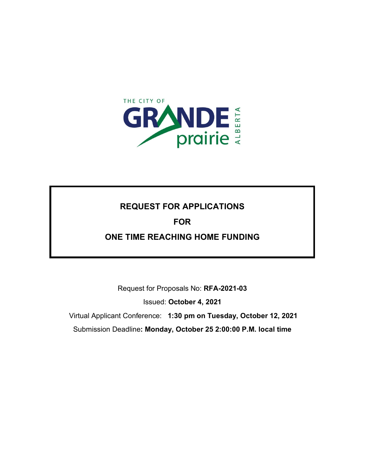

## **REQUEST FOR APPLICATIONS**

## **FOR**

## **ONE TIME REACHING HOME FUNDING**

Request for Proposals No: **RFA-2021-03**

Issued: **October 4, 2021**

Virtual Applicant Conference: **1:30 pm on Tuesday, October 12, 2021**

Submission Deadline**: Monday, October 25 2:00:00 P.M. local time**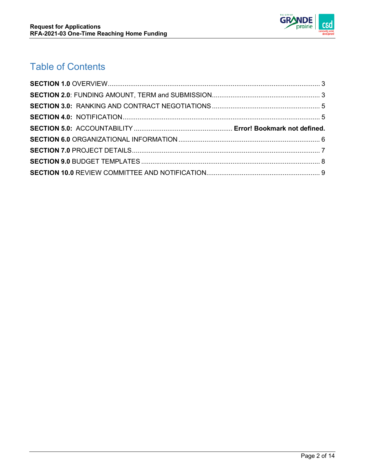

# Table of Contents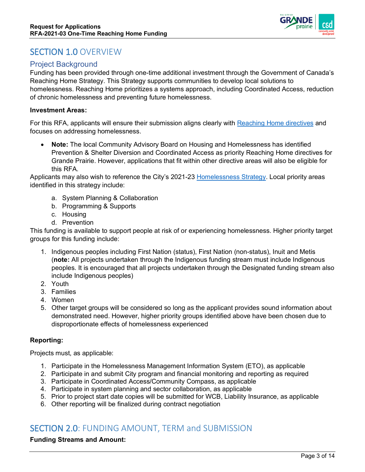

## <span id="page-2-0"></span>SECTION 1.0 OVERVIEW

### Project Background

Funding has been provided through one-time additional investment through the Government of Canada's Reaching Home Strategy. This Strategy supports communities to develop local solutions to homelessness. Reaching Home prioritizes a systems approach, including Coordinated Access, reduction of chronic homelessness and preventing future homelessness.

#### **Investment Areas:**

For this RFA, applicants will ensure their submission aligns clearly with [Reaching Home directives](https://www.canada.ca/en/employment-social-development/programs/homelessness/directives.html#:%7E:text=The%20Reaching%20Home%20directives%20provide%20guidance%2C%20details%20and,directives%20to%20illustrate%20eligible%20activities%3B%20however%20these%20) and focuses on addressing homelessness.

• **Note:** The local Community Advisory Board on Housing and Homelessness has identified Prevention & Shelter Diversion and Coordinated Access as priority Reaching Home directives for Grande Prairie. However, applications that fit within other directive areas will also be eligible for this RFA.

Applicants may also wish to reference the City's 2021-23 [Homelessness Strategy.](https://www.cityofgp.com/HomelessnessStrategy) Local priority areas identified in this strategy include:

- a. System Planning & Collaboration
- b. Programming & Supports
- c. Housing
- d. Prevention

This funding is available to support people at risk of or experiencing homelessness. Higher priority target groups for this funding include:

- 1. Indigenous peoples including First Nation (status), First Nation (non-status), Inuit and Metis (**note:** All projects undertaken through the Indigenous funding stream must include Indigenous peoples. It is encouraged that all projects undertaken through the Designated funding stream also include Indigenous peoples)
- 2. Youth
- 3. Families
- 4. Women
- 5. Other target groups will be considered so long as the applicant provides sound information about demonstrated need. However, higher priority groups identified above have been chosen due to disproportionate effects of homelessness experienced

### **Reporting:**

Projects must, as applicable:

- 1. Participate in the Homelessness Management Information System (ETO), as applicable
- 2. Participate in and submit City program and financial monitoring and reporting as required
- 3. Participate in Coordinated Access/Community Compass, as applicable
- 4. Participate in system planning and sector collaboration, as applicable
- 5. Prior to project start date copies will be submitted for WCB, Liability Insurance, as applicable
- <span id="page-2-1"></span>6. Other reporting will be finalized during contract negotiation

## SECTION 2.0: FUNDING AMOUNT, TERM and SUBMISSION

### **Funding Streams and Amount:**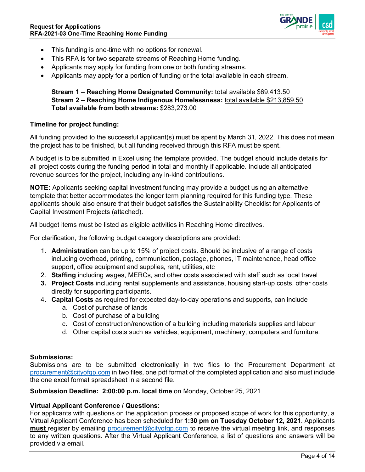

- This funding is one-time with no options for renewal.
- This RFA is for two separate streams of Reaching Home funding.
- Applicants may apply for funding from one or both funding streams.
- Applicants may apply for a portion of funding or the total available in each stream.

### **Stream 1 – Reaching Home Designated Community:** total available \$69,413.50 **Stream 2 – Reaching Home Indigenous Homelessness:** total available \$213,859.50 **Total available from both streams:** \$283,273.00

### **Timeline for project funding:**

All funding provided to the successful applicant(s) must be spent by March 31, 2022. This does not mean the project has to be finished, but all funding received through this RFA must be spent.

A budget is to be submitted in Excel using the template provided. The budget should include details for all project costs during the funding period in total and monthly if applicable. Include all anticipated revenue sources for the project, including any in-kind contributions.

**NOTE:** Applicants seeking capital investment funding may provide a budget using an alternative template that better accommodates the longer term planning required for this funding type. These applicants should also ensure that their budget satisfies the Sustainability Checklist for Applicants of Capital Investment Projects (attached).

All budget items must be listed as eligible activities in Reaching Home directives.

For clarification, the following budget category descriptions are provided:

- 1. **Administration** can be up to 15% of project costs. Should be inclusive of a range of costs including overhead, printing, communication, postage, phones, IT maintenance, head office support, office equipment and supplies, rent, utilities, etc
- 2. **Staffing** including wages, MERCs, and other costs associated with staff such as local travel
- **3. Project Costs** including rental supplements and assistance, housing start-up costs, other costs directly for supporting participants.
- 4. **Capital Costs** as required for expected day-to-day operations and supports, can include
	- a. Cost of purchase of lands
	- b. Cost of purchase of a building
	- c. Cost of construction/renovation of a building including materials supplies and labour
	- d. Other capital costs such as vehicles, equipment, machinery, computers and furniture.

#### **Submissions:**

Submissions are to be submitted electronically in two files to the Procurement Department at [procurement@cityofgp.com](mailto:procurement@cityofgp.com) in two files, one pdf format of the completed application and also must include the one excel format spreadsheet in a second file.

**Submission Deadline: 2:00:00 p.m. local time** on Monday, October 25, 2021

### **Virtual Applicant Conference / Questions:**

For applicants with questions on the application process or proposed scope of work for this opportunity, a Virtual Applicant Conference has been scheduled for **1:30 pm on Tuesday October 12, 2021**. Applicants **must** register by emailing [procurement@cityofgp.com](mailto:procurement@cityofgp.com) to receive the virtual meeting link, and responses to any written questions. After the Virtual Applicant Conference, a list of questions and answers will be provided via email.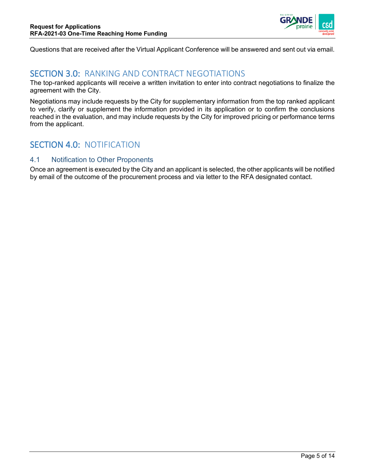

<span id="page-4-0"></span>Questions that are received after the Virtual Applicant Conference will be answered and sent out via email.

## SECTION 3.0: RANKING AND CONTRACT NEGOTIATIONS

The top-ranked applicants will receive a written invitation to enter into contract negotiations to finalize the agreement with the City.

Negotiations may include requests by the City for supplementary information from the top ranked applicant to verify, clarify or supplement the information provided in its application or to confirm the conclusions reached in the evaluation, and may include requests by the City for improved pricing or performance terms from the applicant.

## <span id="page-4-1"></span>SECTION 4.0: NOTIFICATION

### 4.1 Notification to Other Proponents

Once an agreement is executed by the City and an applicant is selected, the other applicants will be notified by email of the outcome of the procurement process and via letter to the RFA designated contact.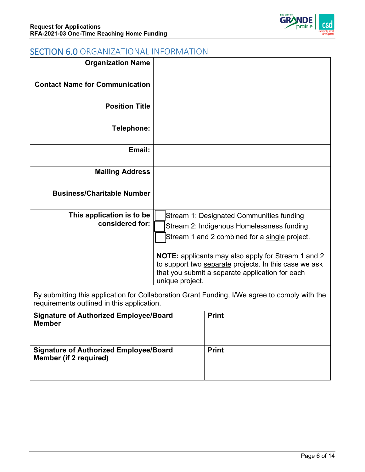

## <span id="page-5-0"></span>SECTION 6.0 ORGANIZATIONAL INFORMATION

| <b>Organization Name</b>                      |                                                                                                                                                                                                                                                                                                                                    |
|-----------------------------------------------|------------------------------------------------------------------------------------------------------------------------------------------------------------------------------------------------------------------------------------------------------------------------------------------------------------------------------------|
| <b>Contact Name for Communication</b>         |                                                                                                                                                                                                                                                                                                                                    |
| <b>Position Title</b>                         |                                                                                                                                                                                                                                                                                                                                    |
| Telephone:                                    |                                                                                                                                                                                                                                                                                                                                    |
| Email:                                        |                                                                                                                                                                                                                                                                                                                                    |
| <b>Mailing Address</b>                        |                                                                                                                                                                                                                                                                                                                                    |
| <b>Business/Charitable Number</b>             |                                                                                                                                                                                                                                                                                                                                    |
| This application is to be<br>considered for:  | Stream 1: Designated Communities funding<br>Stream 2: Indigenous Homelessness funding<br>Stream 1 and 2 combined for a single project.<br><b>NOTE:</b> applicants may also apply for Stream 1 and 2<br>to support two separate projects. In this case we ask<br>that you submit a separate application for each<br>unique project. |
| requirements outlined in this application.    | By submitting this application for Collaboration Grant Funding, I/We agree to comply with the                                                                                                                                                                                                                                      |
| <b>Signature of Authorized Employee/Board</b> | <b>Print</b>                                                                                                                                                                                                                                                                                                                       |

| <b>Signature of Authorized Employee/Board</b><br><b>Member</b>          | <b>Print</b> |
|-------------------------------------------------------------------------|--------------|
| <b>Signature of Authorized Employee/Board</b><br>Member (if 2 required) | <b>Print</b> |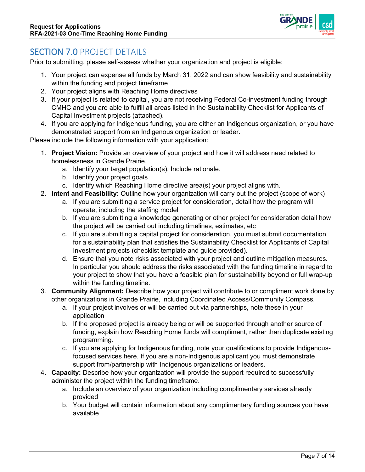

## <span id="page-6-0"></span>SECTION 7.0 PROJECT DETAILS

Prior to submitting, please self-assess whether your organization and project is eligible:

- 1. Your project can expense all funds by March 31, 2022 and can show feasibility and sustainability within the funding and project timeframe
- 2. Your project aligns with Reaching Home directives
- 3. If your project is related to capital, you are not receiving Federal Co-investment funding through CMHC and you are able to fulfill all areas listed in the Sustainability Checklist for Applicants of Capital Investment projects (attached).
- 4. If you are applying for Indigenous funding, you are either an Indigenous organization, or you have demonstrated support from an Indigenous organization or leader.

Please include the following information with your application:

- 1. **Project Vision:** Provide an overview of your project and how it will address need related to homelessness in Grande Prairie.
	- a. Identify your target population(s). Include rationale.
	- b. Identify your project goals
	- c. Identify which Reaching Home directive area(s) your project aligns with.
- 2. **Intent and Feasibility:** Outline how your organization will carry out the project (scope of work)
	- a. If you are submitting a service project for consideration, detail how the program will operate, including the staffing model
	- b. If you are submitting a knowledge generating or other project for consideration detail how the project will be carried out including timelines, estimates, etc
	- c. If you are submitting a capital project for consideration, you must submit documentation for a sustainability plan that satisfies the Sustainability Checklist for Applicants of Capital Investment projects (checklist template and guide provided).
	- d. Ensure that you note risks associated with your project and outline mitigation measures. In particular you should address the risks associated with the funding timeline in regard to your project to show that you have a feasible plan for sustainability beyond or full wrap-up within the funding timeline.
- 3. **Community Alignment:** Describe how your project will contribute to or compliment work done by other organizations in Grande Prairie, including Coordinated Access/Community Compass.
	- a. If your project involves or will be carried out via partnerships, note these in your application
	- b. If the proposed project is already being or will be supported through another source of funding, explain how Reaching Home funds will compliment, rather than duplicate existing programming.
	- c. If you are applying for Indigenous funding, note your qualifications to provide Indigenousfocused services here. If you are a non-Indigenous applicant you must demonstrate support from/partnership with Indigenous organizations or leaders.
- 4. **Capacity:** Describe how your organization will provide the support required to successfully administer the project within the funding timeframe.
	- a. Include an overview of your organization including complimentary services already provided
	- b. Your budget will contain information about any complimentary funding sources you have available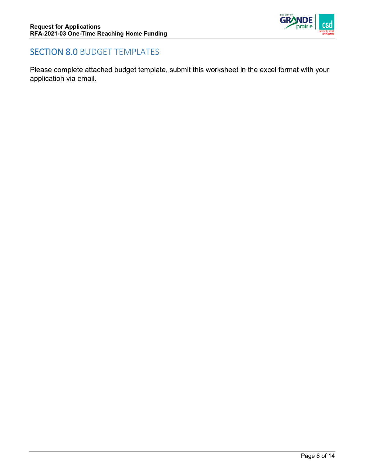

## <span id="page-7-0"></span>SECTION 8.0 BUDGET TEMPLATES

Please complete attached budget template, submit this worksheet in the excel format with your application via email.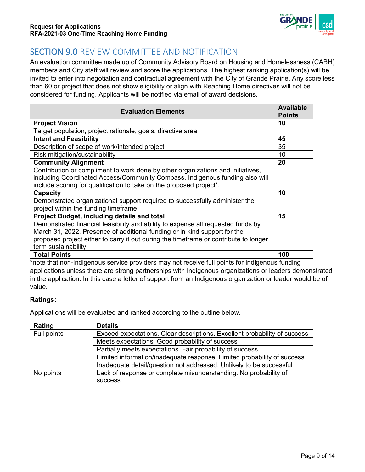

## <span id="page-8-0"></span>SECTION 9.0 REVIEW COMMITTEE AND NOTIFICATION

An evaluation committee made up of Community Advisory Board on Housing and Homelessness (CABH) members and City staff will review and score the applications. The highest ranking application(s) will be invited to enter into negotiation and contractual agreement with the City of Grande Prairie. Any score less than 60 or project that does not show eligibility or align with Reaching Home directives will not be considered for funding. Applicants will be notified via email of award decisions.

| <b>Evaluation Elements</b>                                                                                                                                                                                                                                                   | <b>Available</b><br><b>Points</b> |
|------------------------------------------------------------------------------------------------------------------------------------------------------------------------------------------------------------------------------------------------------------------------------|-----------------------------------|
| <b>Project Vision</b>                                                                                                                                                                                                                                                        | 10                                |
| Target population, project rationale, goals, directive area                                                                                                                                                                                                                  |                                   |
| <b>Intent and Feasibility</b>                                                                                                                                                                                                                                                | 45                                |
| Description of scope of work/intended project                                                                                                                                                                                                                                | 35                                |
| Risk mitigation/sustainability                                                                                                                                                                                                                                               | 10                                |
| <b>Community Alignment</b>                                                                                                                                                                                                                                                   | 20                                |
| Contribution or compliment to work done by other organizations and initiatives,<br>including Coordinated Access/Community Compass. Indigenous funding also will<br>include scoring for qualification to take on the proposed project*.                                       |                                   |
| Capacity                                                                                                                                                                                                                                                                     | 10                                |
| Demonstrated organizational support required to successfully administer the<br>project within the funding timeframe.                                                                                                                                                         |                                   |
| Project Budget, including details and total                                                                                                                                                                                                                                  | 15                                |
| Demonstrated financial feasibility and ability to expense all requested funds by<br>March 31, 2022. Presence of additional funding or in kind support for the<br>proposed project either to carry it out during the timeframe or contribute to longer<br>term sustainability |                                   |
| <b>Total Points</b>                                                                                                                                                                                                                                                          | 100                               |

\*note that non-Indigenous service providers may not receive full points for Indigenous funding applications unless there are strong partnerships with Indigenous organizations or leaders demonstrated in the application. In this case a letter of support from an Indigenous organization or leader would be of value.

### **Ratings:**

Applications will be evaluated and ranked according to the outline below.

| Rating      | <b>Details</b>                                                            |
|-------------|---------------------------------------------------------------------------|
| Full points | Exceed expectations. Clear descriptions. Excellent probability of success |
|             | Meets expectations. Good probability of success                           |
|             | Partially meets expectations. Fair probability of success                 |
|             | Limited information/inadequate response. Limited probability of success   |
|             | Inadequate detail/question not addressed. Unlikely to be successful       |
| No points   | Lack of response or complete misunderstanding. No probability of          |
|             | <b>SUCCESS</b>                                                            |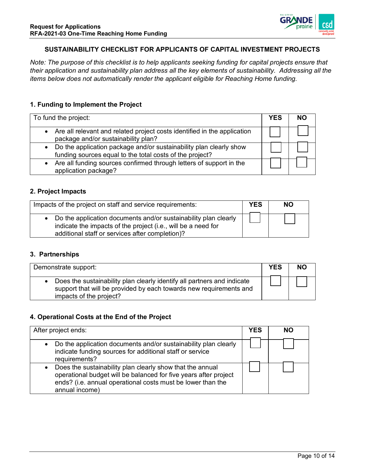

### **SUSTAINABILITY CHECKLIST FOR APPLICANTS OF CAPITAL INVESTMENT PROJECTS**

*Note: The purpose of this checklist is to help applicants seeking funding for capital projects ensure that their application and sustainability plan address all the key elements of sustainability. Addressing all the items below does not automatically render the applicant eligible for Reaching Home funding.*

#### **1. Funding to Implement the Project**

| To fund the project:                                                                                                             | YES |  |
|----------------------------------------------------------------------------------------------------------------------------------|-----|--|
| • Are all relevant and related project costs identified in the application<br>package and/or sustainability plan?                |     |  |
| • Do the application package and/or sustainability plan clearly show<br>funding sources equal to the total costs of the project? |     |  |
| • Are all funding sources confirmed through letters of support in the<br>application package?                                    |     |  |

#### **2. Project Impacts**

| Impacts of the project on staff and service requirements:                                                                                                                             | <b>YES</b> | <b>NO</b> |
|---------------------------------------------------------------------------------------------------------------------------------------------------------------------------------------|------------|-----------|
| • Do the application documents and/or sustainability plan clearly<br>indicate the impacts of the project (i.e., will be a need for<br>additional staff or services after completion)? |            |           |

#### **3. Partnerships**

| Demonstrate support:                                                                                                                                                       | <b>YES</b> | <b>NO</b> |
|----------------------------------------------------------------------------------------------------------------------------------------------------------------------------|------------|-----------|
| • Does the sustainability plan clearly identify all partners and indicate<br>support that will be provided by each towards new requirements and<br>impacts of the project? |            |           |

#### **4. Operational Costs at the End of the Project**

| After project ends:                                                                                                                                                                                                         | YES | <b>NO</b> |
|-----------------------------------------------------------------------------------------------------------------------------------------------------------------------------------------------------------------------------|-----|-----------|
| Do the application documents and/or sustainability plan clearly<br>$\bullet$<br>indicate funding sources for additional staff or service<br>requirements?                                                                   |     |           |
| Does the sustainability plan clearly show that the annual<br>$\bullet$<br>operational budget will be balanced for five years after project<br>ends? (i.e. annual operational costs must be lower than the<br>annual income) |     |           |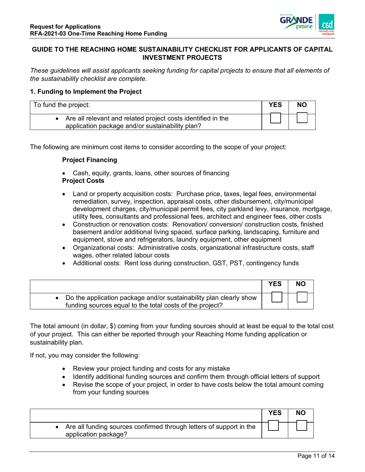

### **GUIDE TO THE REACHING HOME SUSTAINABILITY CHECKLIST FOR APPLICANTS OF CAPITAL INVESTMENT PROJECTS**

*These guidelines will assist applicants seeking funding for capital projects to ensure that all elements of the sustainability checklist are complete.* 

#### **1. Funding to Implement the Project**

| To fund the project:                                                                                            | <b>YES</b> | <b>NO</b> |
|-----------------------------------------------------------------------------------------------------------------|------------|-----------|
| Are all relevant and related project costs identified in the<br>application package and/or sustainability plan? |            |           |

The following are minimum cost items to consider according to the scope of your project:

#### **Project Financing**

- Cash, equity, grants, loans, other sources of financing **Project Costs**
- Land or property acquisition costs: Purchase price, taxes, legal fees, environmental remediation, survey, inspection, appraisal costs, other disbursement, city/municipal development charges, city/municipal permit fees, city parkland levy, insurance, mortgage, utility fees, consultants and professional fees, architect and engineer fees, other costs
- Construction or renovation costs: Renovation/ conversion/ construction costs, finished basement and/or additional living spaced, surface parking, landscaping, furniture and equipment, stove and refrigerators, laundry equipment, other equipment
- Organizational costs: Administrative costs, organizational infrastructure costs, staff wages, other related labour costs
- Additional costs: Rent loss during construction, GST, PST, contingency funds

|                                                                                                                                  | <b>YES</b> | <b>NO</b> |
|----------------------------------------------------------------------------------------------------------------------------------|------------|-----------|
| • Do the application package and/or sustainability plan clearly show<br>funding sources equal to the total costs of the project? |            |           |

The total amount (in dollar, \$) coming from your funding sources should at least be equal to the total cost of your project. This can either be reported through your Reaching Home funding application or sustainability plan.

If not, you may consider the following:

- Review your project funding and costs for any mistake
- Identify additional funding sources and confirm them through official letters of support
- Revise the scope of your project, in order to have costs below the total amount coming from your funding sources

|                                                                                               | <b>YES</b> | <b>NO</b> |
|-----------------------------------------------------------------------------------------------|------------|-----------|
| • Are all funding sources confirmed through letters of support in the<br>application package? |            |           |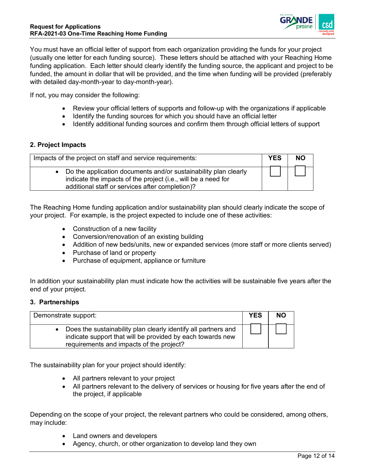

You must have an official letter of support from each organization providing the funds for your project (usually one letter for each funding source). These letters should be attached with your Reaching Home funding application. Each letter should clearly identify the funding source, the applicant and project to be funded, the amount in dollar that will be provided, and the time when funding will be provided (preferably with detailed day-month-year to day-month-year).

If not, you may consider the following:

- Review your official letters of supports and follow-up with the organizations if applicable
- Identify the funding sources for which you should have an official letter
- Identify additional funding sources and confirm them through official letters of support

#### **2. Project Impacts**

| Impacts of the project on staff and service requirements:                                                                                                                             | <b>YES</b> | <b>NO</b> |
|---------------------------------------------------------------------------------------------------------------------------------------------------------------------------------------|------------|-----------|
| • Do the application documents and/or sustainability plan clearly<br>indicate the impacts of the project (i.e., will be a need for<br>additional staff or services after completion)? |            |           |

The Reaching Home funding application and/or sustainability plan should clearly indicate the scope of your project. For example, is the project expected to include one of these activities:

- Construction of a new facility
- Conversion/renovation of an existing building
- Addition of new beds/units, new or expanded services (more staff or more clients served)
- Purchase of land or property
- Purchase of equipment, appliance or furniture

In addition your sustainability plan must indicate how the activities will be sustainable five years after the end of your project.

#### **3. Partnerships**

| Demonstrate support:                                                                                                                                                       | <b>YES</b> | <b>NO</b> |
|----------------------------------------------------------------------------------------------------------------------------------------------------------------------------|------------|-----------|
| • Does the sustainability plan clearly identify all partners and<br>indicate support that will be provided by each towards new<br>requirements and impacts of the project? |            |           |

The sustainability plan for your project should identify:

- All partners relevant to your project
- All partners relevant to the delivery of services or housing for five years after the end of the project, if applicable

Depending on the scope of your project, the relevant partners who could be considered, among others, may include:

- Land owners and developers
- Agency, church, or other organization to develop land they own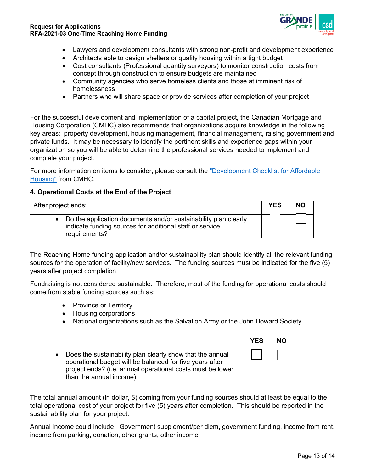

- Lawyers and development consultants with strong non-profit and development experience
- Architects able to design shelters or quality housing within a tight budget
- Cost consultants (Professional quantity surveyors) to monitor construction costs from concept through construction to ensure budgets are maintained
- Community agencies who serve homeless clients and those at imminent risk of homelessness
- Partners who will share space or provide services after completion of your project

For the successful development and implementation of a capital project, the Canadian Mortgage and Housing Corporation (CMHC) also recommends that organizations acquire knowledge in the following key areas: property development, housing management, financial management, raising government and private funds. It may be necessary to identify the pertinent skills and experience gaps within your organization so you will be able to determine the professional services needed to implement and complete your project.

For more information on items to consider, please consult the ["Development Checklist for Affordable](https://www.cmhc-schl.gc.ca/en/developing-and-renovating/develop-new-affordable-housing/programs-and-information/development-checklist-for-affordable-housing)  [Housing"](https://www.cmhc-schl.gc.ca/en/developing-and-renovating/develop-new-affordable-housing/programs-and-information/development-checklist-for-affordable-housing) from CMHC.

#### **4. Operational Costs at the End of the Project**

| After project ends:                                                                                                                            | <b>YES</b> | <b>NO</b> |
|------------------------------------------------------------------------------------------------------------------------------------------------|------------|-----------|
| • Do the application documents and/or sustainability plan clearly<br>indicate funding sources for additional staff or service<br>requirements? |            |           |

The Reaching Home funding application and/or sustainability plan should identify all the relevant funding sources for the operation of facility/new services. The funding sources must be indicated for the five (5) years after project completion.

Fundraising is not considered sustainable. Therefore, most of the funding for operational costs should come from stable funding sources such as:

- Province or Territory
- Housing corporations
- National organizations such as the Salvation Army or the John Howard Society

|                                                                                                                                                                                                                  | <b>YES</b> | <b>NO</b> |
|------------------------------------------------------------------------------------------------------------------------------------------------------------------------------------------------------------------|------------|-----------|
| • Does the sustainability plan clearly show that the annual<br>operational budget will be balanced for five years after<br>project ends? (i.e. annual operational costs must be lower<br>than the annual income) |            |           |

The total annual amount (in dollar, \$) coming from your funding sources should at least be equal to the total operational cost of your project for five (5) years after completion. This should be reported in the sustainability plan for your project.

Annual Income could include: Government supplement/per diem, government funding, income from rent, income from parking, donation, other grants, other income